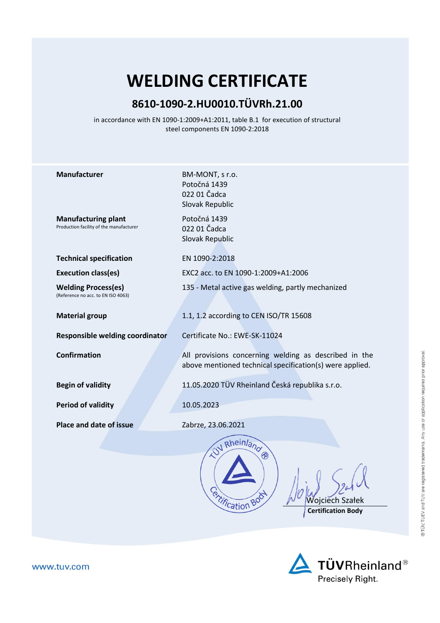## **WELDING CERTIFICATE**

## **8610-1090-2.HU0010.TÜVRh.21.00**

in accordance with EN 1090-1:2009+A1:2011, table B.1 for execution of structural steel components EN 1090-2:2018

| <b>Manufacturer</b>                                                   | BM-MONT, s r.o.<br>Potočná 1439<br>022 01 Čadca<br>Slovak Republic                                                |
|-----------------------------------------------------------------------|-------------------------------------------------------------------------------------------------------------------|
| <b>Manufacturing plant</b><br>Production facility of the manufacturer | Potočná 1439<br>022 01 Čadca<br>Slovak Republic                                                                   |
| <b>Technical specification</b>                                        | EN 1090-2:2018                                                                                                    |
| <b>Execution class(es)</b>                                            | EXC2 acc. to EN 1090-1:2009+A1:2006                                                                               |
| <b>Welding Process(es)</b><br>(Reference no acc. to EN ISO 4063)      | 135 - Metal active gas welding, partly mechanized                                                                 |
| <b>Material group</b>                                                 | 1.1, 1.2 according to CEN ISO/TR 15608                                                                            |
| Responsible welding coordinator                                       | Certificate No.: EWE-SK-11024                                                                                     |
| <b>Confirmation</b>                                                   | All provisions concerning welding as described in the<br>above mentioned technical specification(s) were applied. |
| <b>Begin of validity</b>                                              | 11.05.2020 TÜV Rheinland Česká republika s.r.o.                                                                   |
| <b>Period of validity</b>                                             | 10.05.2023                                                                                                        |
| <b>Place and date of issue</b>                                        | Zabrze, 23.06.2021                                                                                                |
|                                                                       | W Rheinlang<br><b><i><u>Princation</u></i></b><br>Wojciech Szałek<br><b>Certification Body</b>                    |

 $\Delta$  TÜVRheinland® Precisely Right.